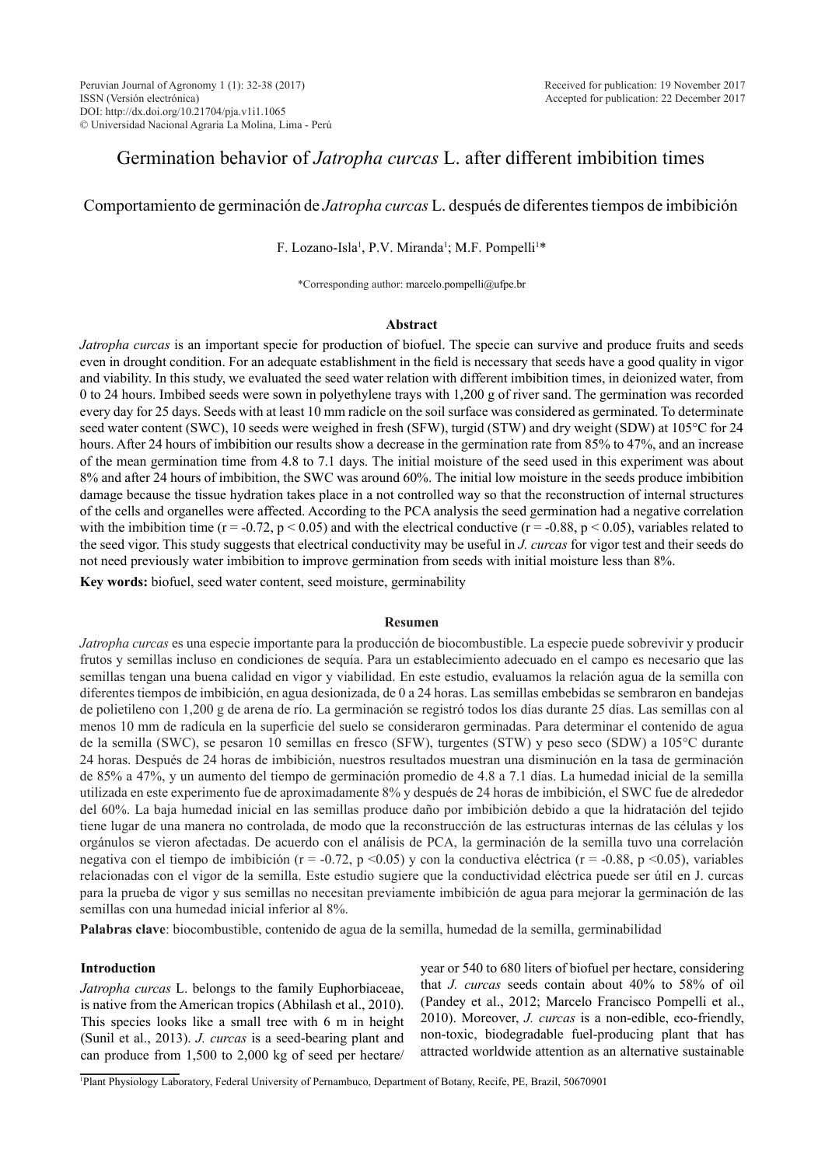# Germination behavior of *Jatropha curcas* L. after different imbibition times

# Comportamiento de germinación de *Jatropha curcas* L. después de diferentes tiempos de imbibición

### F. Lozano-Isla<sup>1</sup>, P.V. Miranda<sup>1</sup>; M.F. Pompelli<sup>1\*</sup>

\*Corresponding author: marcelo.pompelli@ufpe.br

### **Abstract**

*Jatropha curcas* is an important specie for production of biofuel. The specie can survive and produce fruits and seeds even in drought condition. For an adequate establishment in the field is necessary that seeds have a good quality in vigor and viability. In this study, we evaluated the seed water relation with different imbibition times, in deionized water, from 0 to 24 hours. Imbibed seeds were sown in polyethylene trays with 1,200 g of river sand. The germination was recorded every day for 25 days. Seeds with at least 10 mm radicle on the soil surface was considered as germinated. To determinate seed water content (SWC), 10 seeds were weighed in fresh (SFW), turgid (STW) and dry weight (SDW) at 105°C for 24 hours. After 24 hours of imbibition our results show a decrease in the germination rate from 85% to 47%, and an increase of the mean germination time from 4.8 to 7.1 days. The initial moisture of the seed used in this experiment was about 8% and after 24 hours of imbibition, the SWC was around 60%. The initial low moisture in the seeds produce imbibition damage because the tissue hydration takes place in a not controlled way so that the reconstruction of internal structures of the cells and organelles were affected. According to the PCA analysis the seed germination had a negative correlation with the imbibition time ( $r = -0.72$ ,  $p < 0.05$ ) and with the electrical conductive ( $r = -0.88$ ,  $p < 0.05$ ), variables related to the seed vigor. This study suggests that electrical conductivity may be useful in *J. curcas* for vigor test and their seeds do not need previously water imbibition to improve germination from seeds with initial moisture less than 8%.

**Key words:** biofuel, seed water content, seed moisture, germinability

#### **Resumen**

*Jatropha curcas* es una especie importante para la producción de biocombustible. La especie puede sobrevivir y producir frutos y semillas incluso en condiciones de sequía. Para un establecimiento adecuado en el campo es necesario que las semillas tengan una buena calidad en vigor y viabilidad. En este estudio, evaluamos la relación agua de la semilla con diferentes tiempos de imbibición, en agua desionizada, de 0 a 24 horas. Las semillas embebidas se sembraron en bandejas de polietileno con 1,200 g de arena de río. La germinación se registró todos los días durante 25 días. Las semillas con al menos 10 mm de radícula en la superficie del suelo se consideraron germinadas. Para determinar el contenido de agua de la semilla (SWC), se pesaron 10 semillas en fresco (SFW), turgentes (STW) y peso seco (SDW) a 105°C durante 24 horas. Después de 24 horas de imbibición, nuestros resultados muestran una disminución en la tasa de germinación de 85% a 47%, y un aumento del tiempo de germinación promedio de 4.8 a 7.1 días. La humedad inicial de la semilla utilizada en este experimento fue de aproximadamente 8% y después de 24 horas de imbibición, el SWC fue de alrededor del 60%. La baja humedad inicial en las semillas produce daño por imbibición debido a que la hidratación del tejido tiene lugar de una manera no controlada, de modo que la reconstrucción de las estructuras internas de las células y los orgánulos se vieron afectadas. De acuerdo con el análisis de PCA, la germinación de la semilla tuvo una correlación negativa con el tiempo de imbibición (r = -0.72, p <0.05) y con la conductiva eléctrica (r = -0.88, p <0.05), variables relacionadas con el vigor de la semilla. Este estudio sugiere que la conductividad eléctrica puede ser útil en J. curcas para la prueba de vigor y sus semillas no necesitan previamente imbibición de agua para mejorar la germinación de las semillas con una humedad inicial inferior al 8%.

**Palabras clave**: biocombustible, contenido de agua de la semilla, humedad de la semilla, germinabilidad

### **Introduction**

*Jatropha curcas* L. belongs to the family Euphorbiaceae, is native from the American tropics (Abhilash et al., 2010). This species looks like a small tree with 6 m in height (Sunil et al., 2013). *J. curcas* is a seed-bearing plant and can produce from 1,500 to 2,000 kg of seed per hectare/

year or 540 to 680 liters of biofuel per hectare, considering that *J. curcas* seeds contain about 40% to 58% of oil (Pandey et al., 2012; Marcelo Francisco Pompelli et al., 2010). Moreover, *J. curcas* is a non-edible, eco-friendly, non-toxic, biodegradable fuel-producing plant that has attracted worldwide attention as an alternative sustainable

1 Plant Physiology Laboratory, Federal University of Pernambuco, Department of Botany, Recife, PE, Brazil, 50670901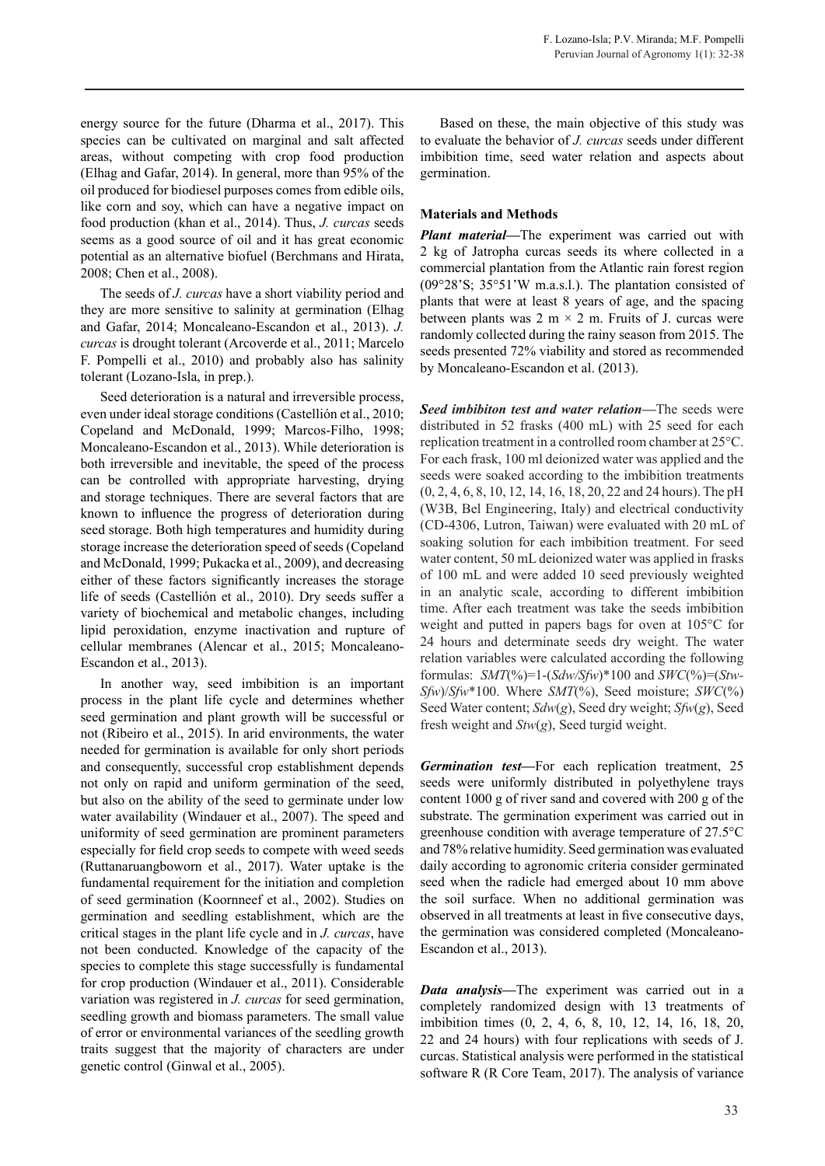energy source for the future (Dharma et al., 2017). This species can be cultivated on marginal and salt affected areas, without competing with crop food production (Elhag and Gafar, 2014). In general, more than 95% of the oil produced for biodiesel purposes comes from edible oils, like corn and soy, which can have a negative impact on food production (khan et al., 2014). Thus, *J. curcas* seeds seems as a good source of oil and it has great economic potential as an alternative biofuel (Berchmans and Hirata, 2008; Chen et al., 2008).

The seeds of *J. curcas* have a short viability period and they are more sensitive to salinity at germination (Elhag and Gafar, 2014; Moncaleano-Escandon et al., 2013). *J. curcas* is drought tolerant (Arcoverde et al., 2011; Marcelo F. Pompelli et al., 2010) and probably also has salinity tolerant (Lozano-Isla, in prep.).

Seed deterioration is a natural and irreversible process, even under ideal storage conditions (Castellión et al., 2010; Copeland and McDonald, 1999; Marcos-Filho, 1998; Moncaleano-Escandon et al., 2013). While deterioration is both irreversible and inevitable, the speed of the process can be controlled with appropriate harvesting, drying and storage techniques. There are several factors that are known to influence the progress of deterioration during seed storage. Both high temperatures and humidity during storage increase the deterioration speed of seeds (Copeland and McDonald, 1999; Pukacka et al., 2009), and decreasing either of these factors significantly increases the storage life of seeds (Castellión et al., 2010). Dry seeds suffer a variety of biochemical and metabolic changes, including lipid peroxidation, enzyme inactivation and rupture of cellular membranes (Alencar et al., 2015; Moncaleano-Escandon et al., 2013).

In another way, seed imbibition is an important process in the plant life cycle and determines whether seed germination and plant growth will be successful or not (Ribeiro et al., 2015). In arid environments, the water needed for germination is available for only short periods and consequently, successful crop establishment depends not only on rapid and uniform germination of the seed, but also on the ability of the seed to germinate under low water availability (Windauer et al., 2007). The speed and uniformity of seed germination are prominent parameters especially for field crop seeds to compete with weed seeds (Ruttanaruangboworn et al., 2017). Water uptake is the fundamental requirement for the initiation and completion of seed germination (Koornneef et al., 2002). Studies on germination and seedling establishment, which are the critical stages in the plant life cycle and in *J. curcas*, have not been conducted. Knowledge of the capacity of the species to complete this stage successfully is fundamental for crop production (Windauer et al., 2011). Considerable variation was registered in *J. curcas* for seed germination, seedling growth and biomass parameters. The small value of error or environmental variances of the seedling growth traits suggest that the majority of characters are under genetic control (Ginwal et al., 2005).

Based on these, the main objective of this study was to evaluate the behavior of *J. curcas* seeds under different imbibition time, seed water relation and aspects about germination.

## **Materials and Methods**

*Plant material—*The experiment was carried out with 2 kg of Jatropha curcas seeds its where collected in a commercial plantation from the Atlantic rain forest region (09°28'S; 35°51'W m.a.s.l.). The plantation consisted of plants that were at least 8 years of age, and the spacing between plants was 2 m  $\times$  2 m. Fruits of J. curcas were randomly collected during the rainy season from 2015. The seeds presented 72% viability and stored as recommended by Moncaleano-Escandon et al. (2013).

*Seed imbibiton test and water relation—*The seeds were distributed in 52 frasks (400 mL) with 25 seed for each replication treatment in a controlled room chamber at 25°C. For each frask, 100 ml deionized water was applied and the seeds were soaked according to the imbibition treatments (0, 2, 4, 6, 8, 10, 12, 14, 16, 18, 20, 22 and 24 hours). The pH (W3B, Bel Engineering, Italy) and electrical conductivity (CD-4306, Lutron, Taiwan) were evaluated with 20 mL of soaking solution for each imbibition treatment. For seed water content, 50 mL deionized water was applied in frasks of 100 mL and were added 10 seed previously weighted in an analytic scale, according to different imbibition time. After each treatment was take the seeds imbibition weight and putted in papers bags for oven at 105°C for 24 hours and determinate seeds dry weight. The water relation variables were calculated according the following formulas:  $SMT(\%)=1-(Sdw/Sfw)*100$  and  $SWC(\%)= (Stw-$ *Sfw*)/*Sfw*\*100. Where *SMT*(%), Seed moisture; *SWC*(%) Seed Water content; *Sdw*(*g*), Seed dry weight; *Sfw*(*g*), Seed fresh weight and *Stw*(*g*), Seed turgid weight.

*Germination test—*For each replication treatment, 25 seeds were uniformly distributed in polyethylene trays content 1000 g of river sand and covered with 200 g of the substrate. The germination experiment was carried out in greenhouse condition with average temperature of 27.5°C and 78% relative humidity. Seed germination was evaluated daily according to agronomic criteria consider germinated seed when the radicle had emerged about 10 mm above the soil surface. When no additional germination was observed in all treatments at least in five consecutive days, the germination was considered completed (Moncaleano-Escandon et al., 2013).

*Data analysis—*The experiment was carried out in a completely randomized design with 13 treatments of imbibition times (0, 2, 4, 6, 8, 10, 12, 14, 16, 18, 20, 22 and 24 hours) with four replications with seeds of J. curcas. Statistical analysis were performed in the statistical software R (R Core Team, 2017). The analysis of variance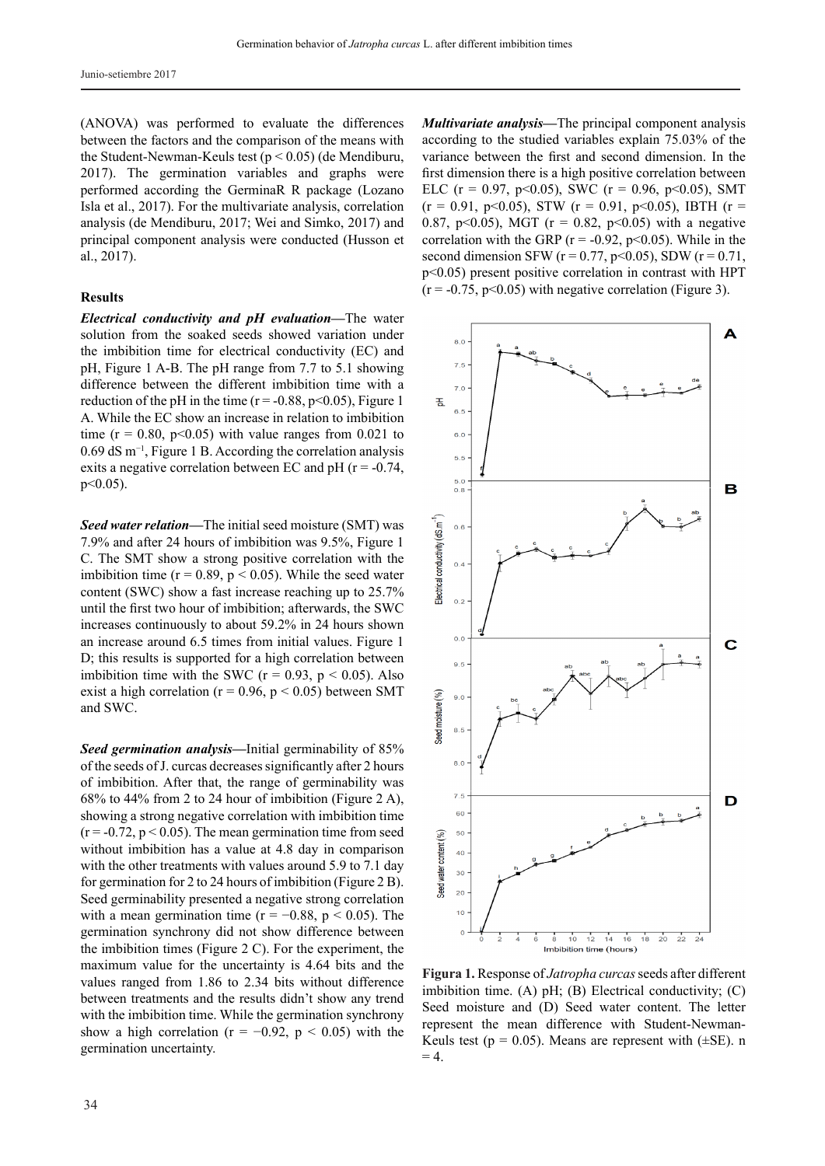Junio-setiembre 2017

(ANOVA) was performed to evaluate the differences between the factors and the comparison of the means with the Student-Newman-Keuls test (p < 0.05) (de Mendiburu, 2017). The germination variables and graphs were performed according the GerminaR R package (Lozano Isla et al., 2017). For the multivariate analysis, correlation analysis (de Mendiburu, 2017; Wei and Simko, 2017) and principal component analysis were conducted (Husson et al., 2017).

### **Results**

*Electrical conductivity and pH evaluation—*The water solution from the soaked seeds showed variation under the imbibition time for electrical conductivity (EC) and pH, Figure 1 A-B. The pH range from 7.7 to 5.1 showing difference between the different imbibition time with a reduction of the pH in the time ( $r = -0.88$ ,  $p < 0.05$ ), Figure 1 A. While the EC show an increase in relation to imbibition time ( $r = 0.80$ ,  $p < 0.05$ ) with value ranges from 0.021 to 0.69 dS m−1, Figure 1 B. According the correlation analysis exits a negative correlation between EC and pH ( $r = -0.74$ ,  $p<0.05$ ).

*Seed water relation—*The initial seed moisture (SMT) was 7.9% and after 24 hours of imbibition was 9.5%, Figure 1 C. The SMT show a strong positive correlation with the imbibition time ( $r = 0.89$ ,  $p < 0.05$ ). While the seed water content (SWC) show a fast increase reaching up to 25.7% until the first two hour of imbibition; afterwards, the SWC increases continuously to about 59.2% in 24 hours shown an increase around 6.5 times from initial values. Figure 1 D; this results is supported for a high correlation between imbibition time with the SWC ( $r = 0.93$ ,  $p \le 0.05$ ). Also exist a high correlation ( $r = 0.96$ ,  $p < 0.05$ ) between SMT and SWC.

*Seed germination analysis—*Initial germinability of 85% of the seeds of J. curcas decreases significantly after 2 hours of imbibition. After that, the range of germinability was 68% to 44% from 2 to 24 hour of imbibition (Figure 2 A), showing a strong negative correlation with imbibition time  $(r = -0.72, p < 0.05)$ . The mean germination time from seed without imbibition has a value at 4.8 day in comparison with the other treatments with values around 5.9 to 7.1 day for germination for 2 to 24 hours of imbibition (Figure 2 B). Seed germinability presented a negative strong correlation with a mean germination time ( $r = -0.88$ ,  $p < 0.05$ ). The germination synchrony did not show difference between the imbibition times (Figure 2 C). For the experiment, the maximum value for the uncertainty is 4.64 bits and the values ranged from 1.86 to 2.34 bits without difference between treatments and the results didn't show any trend with the imbibition time. While the germination synchrony show a high correlation ( $r = -0.92$ ,  $p < 0.05$ ) with the germination uncertainty.

*Multivariate analysis—*The principal component analysis according to the studied variables explain 75.03% of the variance between the first and second dimension. In the first dimension there is a high positive correlation between ELC (r = 0.97, p<0.05), SWC (r = 0.96, p<0.05), SMT  $(r = 0.91, p<0.05)$ , STW  $(r = 0.91, p<0.05)$ , IBTH  $(r =$ 0.87, p<0.05), MGT ( $r = 0.82$ , p<0.05) with a negative correlation with the GRP ( $r = -0.92$ ,  $p < 0.05$ ). While in the second dimension SFW ( $r = 0.77$ ,  $p < 0.05$ ), SDW ( $r = 0.71$ , p<0.05) present positive correlation in contrast with HPT  $(r = -0.75, p < 0.05)$  with negative correlation (Figure 3).



**Figura 1.** Response of *Jatropha curcas* seeds after different imbibition time. (A) pH; (B) Electrical conductivity; (C) Seed moisture and (D) Seed water content. The letter represent the mean difference with Student-Newman-Keuls test ( $p = 0.05$ ). Means are represent with ( $\pm$ SE). n  $= 4.$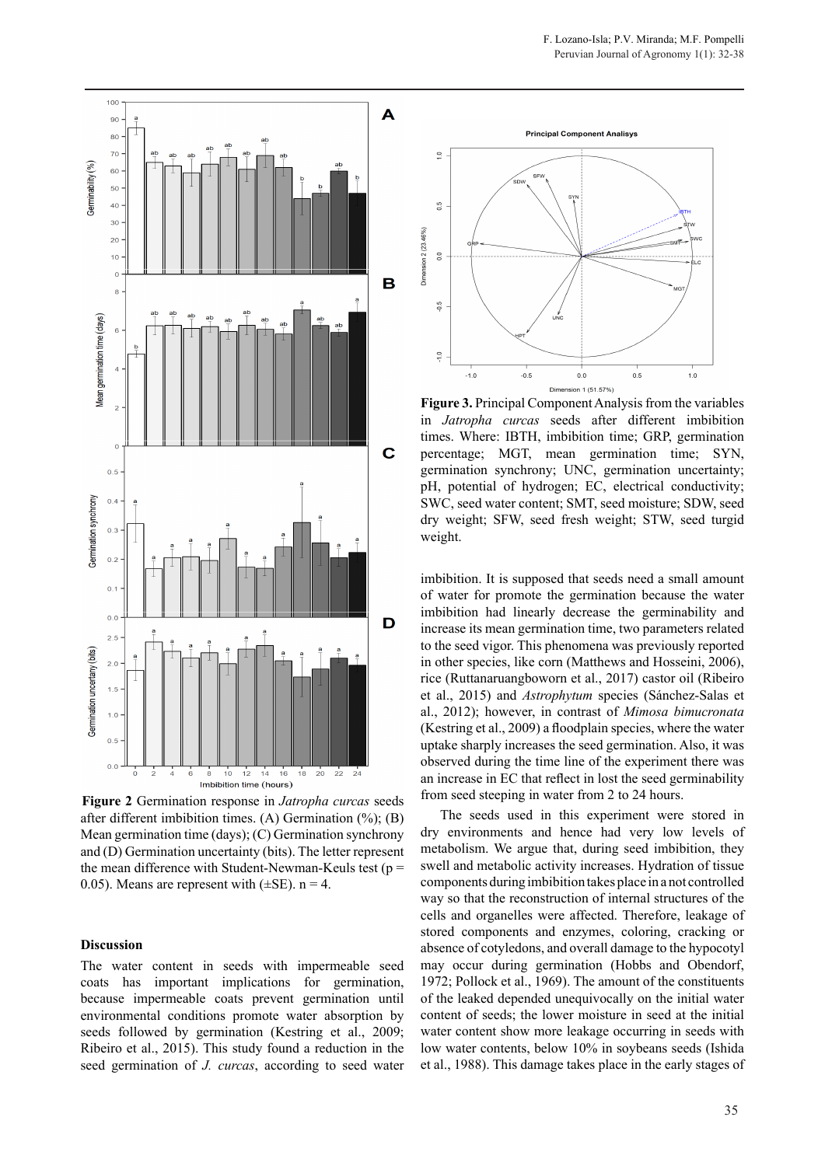

**Figure 2** Germination response in *Jatropha curcas* seeds after different imbibition times. (A) Germination (%); (B) Mean germination time (days); (C) Germination synchrony and (D) Germination uncertainty (bits). The letter represent the mean difference with Student-Newman-Keuls test ( $p =$ 0.05). Means are represent with  $(\pm SE)$ . n = 4.

# **Discussion**

The water content in seeds with impermeable seed coats has important implications for germination, because impermeable coats prevent germination until environmental conditions promote water absorption by seeds followed by germination (Kestring et al., 2009; Ribeiro et al., 2015). This study found a reduction in the seed germination of *J. curcas*, according to seed water



**Figure 3.** Principal Component Analysis from the variables in *Jatropha curcas* seeds after different imbibition times. Where: IBTH, imbibition time; GRP, germination percentage; MGT, mean germination time; SYN, germination synchrony; UNC, germination uncertainty; pH, potential of hydrogen; EC, electrical conductivity; SWC, seed water content; SMT, seed moisture; SDW, seed dry weight; SFW, seed fresh weight; STW, seed turgid weight.

imbibition. It is supposed that seeds need a small amount of water for promote the germination because the water imbibition had linearly decrease the germinability and increase its mean germination time, two parameters related to the seed vigor. This phenomena was previously reported in other species, like corn (Matthews and Hosseini, 2006), rice (Ruttanaruangboworn et al., 2017) castor oil (Ribeiro et al., 2015) and *Astrophytum* species (Sánchez-Salas et al., 2012); however, in contrast of *Mimosa bimucronata* (Kestring et al., 2009) a floodplain species, where the water uptake sharply increases the seed germination. Also, it was observed during the time line of the experiment there was an increase in EC that reflect in lost the seed germinability from seed steeping in water from 2 to 24 hours.

The seeds used in this experiment were stored in dry environments and hence had very low levels of metabolism. We argue that, during seed imbibition, they swell and metabolic activity increases. Hydration of tissue components during imbibition takes place in a not controlled way so that the reconstruction of internal structures of the cells and organelles were affected. Therefore, leakage of stored components and enzymes, coloring, cracking or absence of cotyledons, and overall damage to the hypocotyl may occur during germination (Hobbs and Obendorf, 1972; Pollock et al., 1969). The amount of the constituents of the leaked depended unequivocally on the initial water content of seeds; the lower moisture in seed at the initial water content show more leakage occurring in seeds with low water contents, below 10% in soybeans seeds (Ishida et al., 1988). This damage takes place in the early stages of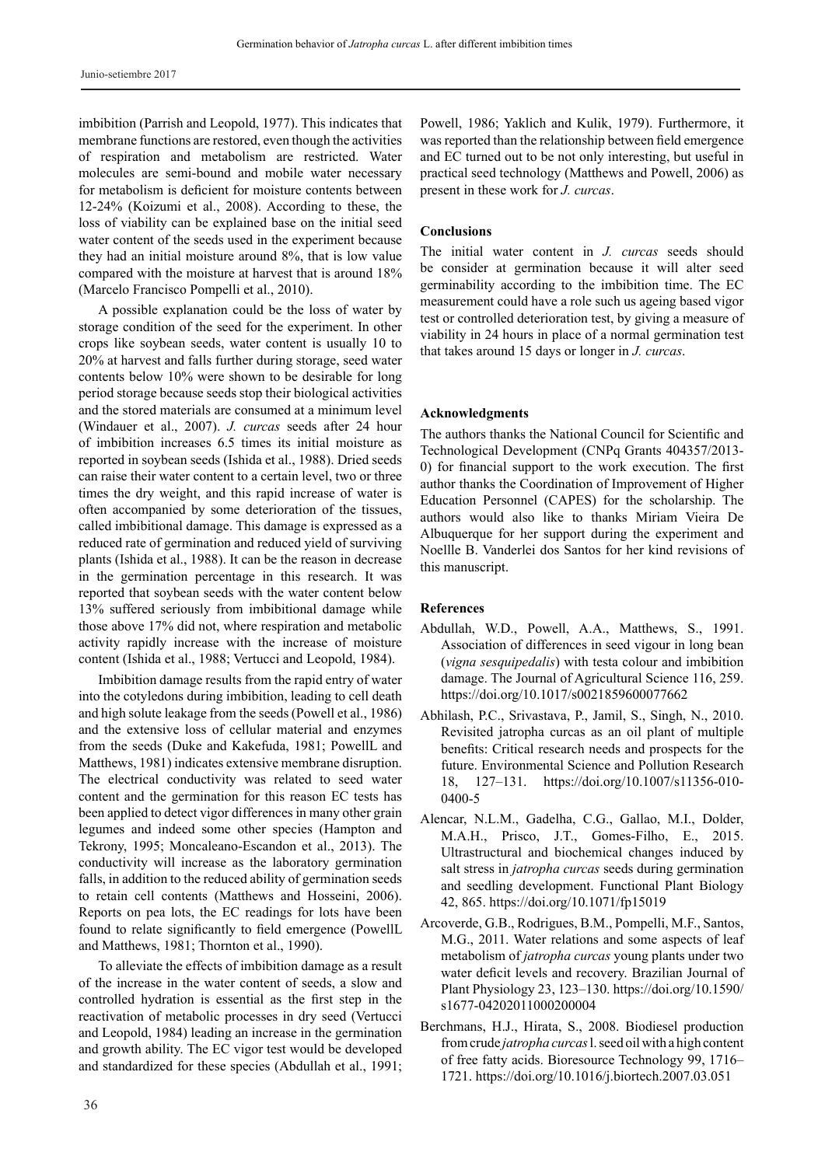imbibition (Parrish and Leopold, 1977). This indicates that membrane functions are restored, even though the activities of respiration and metabolism are restricted. Water molecules are semi-bound and mobile water necessary for metabolism is deficient for moisture contents between 12-24% (Koizumi et al., 2008). According to these, the loss of viability can be explained base on the initial seed water content of the seeds used in the experiment because they had an initial moisture around 8%, that is low value compared with the moisture at harvest that is around 18% (Marcelo Francisco Pompelli et al., 2010).

A possible explanation could be the loss of water by storage condition of the seed for the experiment. In other crops like soybean seeds, water content is usually 10 to 20% at harvest and falls further during storage, seed water contents below 10% were shown to be desirable for long period storage because seeds stop their biological activities and the stored materials are consumed at a minimum level (Windauer et al., 2007). *J. curcas* seeds after 24 hour of imbibition increases 6.5 times its initial moisture as reported in soybean seeds (Ishida et al., 1988). Dried seeds can raise their water content to a certain level, two or three times the dry weight, and this rapid increase of water is often accompanied by some deterioration of the tissues, called imbibitional damage. This damage is expressed as a reduced rate of germination and reduced yield of surviving plants (Ishida et al., 1988). It can be the reason in decrease in the germination percentage in this research. It was reported that soybean seeds with the water content below 13% suffered seriously from imbibitional damage while those above 17% did not, where respiration and metabolic activity rapidly increase with the increase of moisture content (Ishida et al., 1988; Vertucci and Leopold, 1984).

Imbibition damage results from the rapid entry of water into the cotyledons during imbibition, leading to cell death and high solute leakage from the seeds (Powell et al., 1986) and the extensive loss of cellular material and enzymes from the seeds (Duke and Kakefuda, 1981; PowellL and Matthews, 1981) indicates extensive membrane disruption. The electrical conductivity was related to seed water content and the germination for this reason EC tests has been applied to detect vigor differences in many other grain legumes and indeed some other species (Hampton and Tekrony, 1995; Moncaleano-Escandon et al., 2013). The conductivity will increase as the laboratory germination falls, in addition to the reduced ability of germination seeds to retain cell contents (Matthews and Hosseini, 2006). Reports on pea lots, the EC readings for lots have been found to relate significantly to field emergence (PowellL and Matthews, 1981; Thornton et al., 1990).

To alleviate the effects of imbibition damage as a result of the increase in the water content of seeds, a slow and controlled hydration is essential as the first step in the reactivation of metabolic processes in dry seed (Vertucci and Leopold, 1984) leading an increase in the germination and growth ability. The EC vigor test would be developed and standardized for these species (Abdullah et al., 1991;

Powell, 1986; Yaklich and Kulik, 1979). Furthermore, it was reported than the relationship between field emergence and EC turned out to be not only interesting, but useful in practical seed technology (Matthews and Powell, 2006) as present in these work for *J. curcas*.

#### **Conclusions**

The initial water content in *J. curcas* seeds should be consider at germination because it will alter seed germinability according to the imbibition time. The EC measurement could have a role such us ageing based vigor test or controlled deterioration test, by giving a measure of viability in 24 hours in place of a normal germination test that takes around 15 days or longer in *J. curcas*.

### **Acknowledgments**

The authors thanks the National Council for Scientific and Technological Development (CNPq Grants 404357/2013- 0) for financial support to the work execution. The first author thanks the Coordination of Improvement of Higher Education Personnel (CAPES) for the scholarship. The authors would also like to thanks Miriam Vieira De Albuquerque for her support during the experiment and Noellle B. Vanderlei dos Santos for her kind revisions of this manuscript.

#### **References**

- Abdullah, W.D., Powell, A.A., Matthews, S., 1991. Association of differences in seed vigour in long bean (*vigna sesquipedalis*) with testa colour and imbibition damage. The Journal of Agricultural Science 116, 259. https://doi.org/10.1017/s0021859600077662
- Abhilash, P.C., Srivastava, P., Jamil, S., Singh, N., 2010. Revisited jatropha curcas as an oil plant of multiple benefits: Critical research needs and prospects for the future. Environmental Science and Pollution Research 18, 127–131. https://doi.org/10.1007/s11356-010- 0400-5
- Alencar, N.L.M., Gadelha, C.G., Gallao, M.I., Dolder, M.A.H., Prisco, J.T., Gomes-Filho, E., 2015. Ultrastructural and biochemical changes induced by salt stress in *jatropha curcas* seeds during germination and seedling development. Functional Plant Biology 42, 865. https://doi.org/10.1071/fp15019
- Arcoverde, G.B., Rodrigues, B.M., Pompelli, M.F., Santos, M.G., 2011. Water relations and some aspects of leaf metabolism of *jatropha curcas* young plants under two water deficit levels and recovery. Brazilian Journal of Plant Physiology 23, 123–130. https://doi.org/10.1590/ s1677-04202011000200004
- Berchmans, H.J., Hirata, S., 2008. Biodiesel production from crude *jatropha curcas* l. seed oil with a high content of free fatty acids. Bioresource Technology 99, 1716– 1721. https://doi.org/10.1016/j.biortech.2007.03.051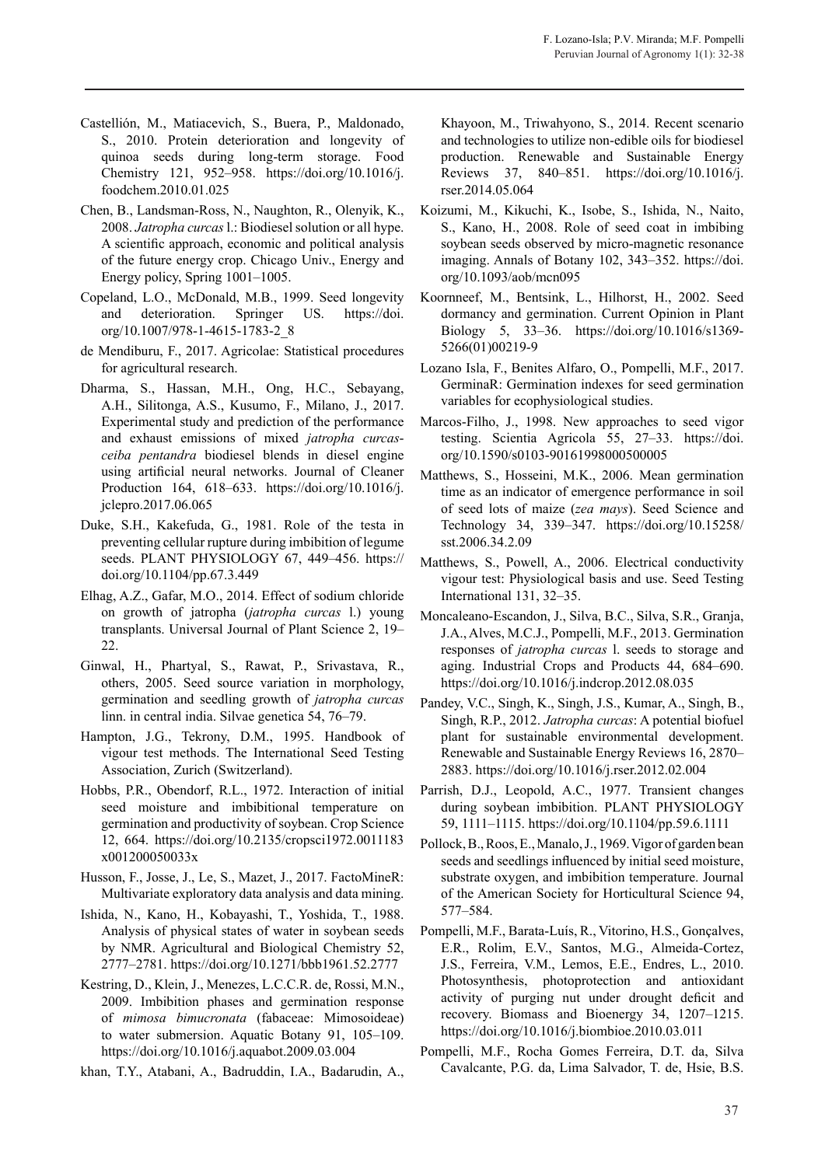- Castellión, M., Matiacevich, S., Buera, P., Maldonado, S., 2010. Protein deterioration and longevity of quinoa seeds during long-term storage. Food Chemistry 121, 952–958. https://doi.org/10.1016/j. foodchem.2010.01.025
- Chen, B., Landsman-Ross, N., Naughton, R., Olenyik, K., 2008. *Jatropha curcas* l.: Biodiesel solution or all hype. A scientific approach, economic and political analysis of the future energy crop. Chicago Univ., Energy and Energy policy, Spring 1001–1005.
- Copeland, L.O., McDonald, M.B., 1999. Seed longevity and deterioration. Springer US. https://doi. org/10.1007/978-1-4615-1783-2\_8
- de Mendiburu, F., 2017. Agricolae: Statistical procedures for agricultural research.
- Dharma, S., Hassan, M.H., Ong, H.C., Sebayang, A.H., Silitonga, A.S., Kusumo, F., Milano, J., 2017. Experimental study and prediction of the performance and exhaust emissions of mixed *jatropha curcasceiba pentandra* biodiesel blends in diesel engine using artificial neural networks. Journal of Cleaner Production 164, 618–633. https://doi.org/10.1016/j. jclepro.2017.06.065
- Duke, S.H., Kakefuda, G., 1981. Role of the testa in preventing cellular rupture during imbibition of legume seeds. PLANT PHYSIOLOGY 67, 449–456. https:// doi.org/10.1104/pp.67.3.449
- Elhag, A.Z., Gafar, M.O., 2014. Effect of sodium chloride on growth of jatropha (*jatropha curcas* l.) young transplants. Universal Journal of Plant Science 2, 19– 22.
- Ginwal, H., Phartyal, S., Rawat, P., Srivastava, R., others, 2005. Seed source variation in morphology, germination and seedling growth of *jatropha curcas* linn. in central india. Silvae genetica 54, 76–79.
- Hampton, J.G., Tekrony, D.M., 1995. Handbook of vigour test methods. The International Seed Testing Association, Zurich (Switzerland).
- Hobbs, P.R., Obendorf, R.L., 1972. Interaction of initial seed moisture and imbibitional temperature on germination and productivity of soybean. Crop Science 12, 664. https://doi.org/10.2135/cropsci1972.0011183 x001200050033x
- Husson, F., Josse, J., Le, S., Mazet, J., 2017. FactoMineR: Multivariate exploratory data analysis and data mining.
- Ishida, N., Kano, H., Kobayashi, T., Yoshida, T., 1988. Analysis of physical states of water in soybean seeds by NMR. Agricultural and Biological Chemistry 52, 2777–2781. https://doi.org/10.1271/bbb1961.52.2777
- Kestring, D., Klein, J., Menezes, L.C.C.R. de, Rossi, M.N., 2009. Imbibition phases and germination response of *mimosa bimucronata* (fabaceae: Mimosoideae) to water submersion. Aquatic Botany 91, 105–109. https://doi.org/10.1016/j.aquabot.2009.03.004

khan, T.Y., Atabani, A., Badruddin, I.A., Badarudin, A.,

Khayoon, M., Triwahyono, S., 2014. Recent scenario and technologies to utilize non-edible oils for biodiesel production. Renewable and Sustainable Energy Reviews 37, 840–851. https://doi.org/10.1016/j. rser.2014.05.064

- Koizumi, M., Kikuchi, K., Isobe, S., Ishida, N., Naito, S., Kano, H., 2008. Role of seed coat in imbibing soybean seeds observed by micro-magnetic resonance imaging. Annals of Botany 102, 343–352. https://doi. org/10.1093/aob/mcn095
- Koornneef, M., Bentsink, L., Hilhorst, H., 2002. Seed dormancy and germination. Current Opinion in Plant Biology 5, 33–36. https://doi.org/10.1016/s1369- 5266(01)00219-9
- Lozano Isla, F., Benites Alfaro, O., Pompelli, M.F., 2017. GerminaR: Germination indexes for seed germination variables for ecophysiological studies.
- Marcos-Filho, J., 1998. New approaches to seed vigor testing. Scientia Agricola 55, 27–33. https://doi. org/10.1590/s0103-90161998000500005
- Matthews, S., Hosseini, M.K., 2006. Mean germination time as an indicator of emergence performance in soil of seed lots of maize (*zea mays*). Seed Science and Technology 34, 339–347. https://doi.org/10.15258/ sst.2006.34.2.09
- Matthews, S., Powell, A., 2006. Electrical conductivity vigour test: Physiological basis and use. Seed Testing International 131, 32–35.
- Moncaleano-Escandon, J., Silva, B.C., Silva, S.R., Granja, J.A., Alves, M.C.J., Pompelli, M.F., 2013. Germination responses of *jatropha curcas* l. seeds to storage and aging. Industrial Crops and Products 44, 684–690. https://doi.org/10.1016/j.indcrop.2012.08.035
- Pandey, V.C., Singh, K., Singh, J.S., Kumar, A., Singh, B., Singh, R.P., 2012. *Jatropha curcas*: A potential biofuel plant for sustainable environmental development. Renewable and Sustainable Energy Reviews 16, 2870– 2883. https://doi.org/10.1016/j.rser.2012.02.004
- Parrish, D.J., Leopold, A.C., 1977. Transient changes during soybean imbibition. PLANT PHYSIOLOGY 59, 1111–1115. https://doi.org/10.1104/pp.59.6.1111
- Pollock, B., Roos, E., Manalo, J., 1969. Vigor of garden bean seeds and seedlings influenced by initial seed moisture, substrate oxygen, and imbibition temperature. Journal of the American Society for Horticultural Science 94, 577–584.
- Pompelli, M.F., Barata-Luís, R., Vitorino, H.S., Gonçalves, E.R., Rolim, E.V., Santos, M.G., Almeida-Cortez, J.S., Ferreira, V.M., Lemos, E.E., Endres, L., 2010. Photosynthesis, photoprotection and antioxidant activity of purging nut under drought deficit and recovery. Biomass and Bioenergy 34, 1207–1215. https://doi.org/10.1016/j.biombioe.2010.03.011
- Pompelli, M.F., Rocha Gomes Ferreira, D.T. da, Silva Cavalcante, P.G. da, Lima Salvador, T. de, Hsie, B.S.